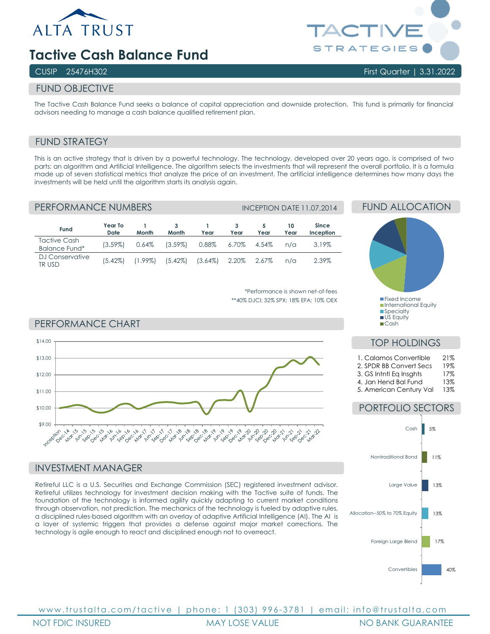

# **Tactive Cash Balance Fund**

# FUND OBJECTIVE

The Tactive Cash Balance Fund seeks a balance of capital appreciation and downside protection. This fund is primarily for financial advisors needing to manage a cash balance qualified retirement plan.

# FUND STRATEGY

This is an active strategy that is driven by a powerful technology. The technology, developed over 20 years ago, is comprised of two parts: an algorithm and Artificial Intelligence. The algorithm selects the investments that will represent the overall portfolio. It is a formula made up of seven statistical metrics that analyze the price of an investment. The artificial intelligence determines how many days the investments will be held until the algorithm starts its analysis again.

| PERFORMANCE NUMBERS           |                        |            |            |            |       | <b>INCEPTION DATE 11.07.2014</b> |            |                    |  |
|-------------------------------|------------------------|------------|------------|------------|-------|----------------------------------|------------|--------------------|--|
| Fund                          | Year To<br><b>Date</b> | Month      | 3<br>Month | Year       | Year  | Year                             | 10<br>Year | Since<br>Inception |  |
| Tactive Cash<br>Balance Fund* | $(3.59\%)$             | 0.64%      | $(3.59\%)$ | 0.88%      | 6.70% | 4.54%                            | $n/\alpha$ | 3.19%              |  |
| DJ Conservative<br>TR USD     | $(5.42\%)$             | $(1.99\%)$ | $(5.42\%)$ | $(3.64\%)$ | 2.20% | 2.67%                            | $n/\alpha$ | 2.39%              |  |

\*Performance is shown net-of-fees \*\*40% DJCI; 32% SPX; 18% EFA; 10% OEX



### INVESTMENT MANAGER

Retireful LLC is a U.S. Securities and Exchange Commission (SEC) registered investment advisor. Retireful utilizes technology for investment decision making with the Tactive suite of funds. The foundation of the technology is informed agility quickly adapting to current market conditions through observation, not prediction. The mechanics of the technology is fueled by adaptive rules, a disciplined rules-based algorithm with an overlay of adaptive Artificial Intelligence (AI). The AI is a layer of systemic triggers that provides a defense against major market corrections. The technology is agile enough to react and disciplined enough not to overreact.



FUND ALLOCATION

Convertibles

40%



# www.trustalta.com/ tactive | phone: 1 ( 303 ) 9 9 6 - 378 1 | email: info@trustalta.com NOT FDIC INSURED MAY LOSE VALUE NO BANK GUARANTEE

# PERFORMANCE CHART